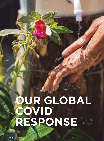# **OUR GLOBAL COVID RESPONSE**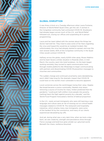

# **GLOBAL DISRUPTION**

It was three o'clock on a Tuesday afternoon when Laura Fontaine, Director of World Relief Quad Cities, got the call. A woman in the Congolese community had contracted COVID-19. Shutdowns had already begun across much of the U.S., and World Relief followed suit, closing our offices and suspending all in-person programming.

Laura and her team talked with the woman about the things her doctor had told her. They tried to ease some of her fears regarding the virus and hoped this would be an isolated incident. But unfortunately, the virus had already started to spread, and over the next several weeks, 60% of the Congolese community in the Quad Cities would contract COVID-19.

Halfway across the globe, nearly 8,000 miles away, Moses Ndahiro and his team faced a similar situation in Rwanda when, in mid-March, the country went into total lockdown. As the team began working remotely, they turned to rapid communication tools through mobile platforms like WhatsApp to begin communicating with partners and disseminating COVID-19 prevention messages to churches and communities.

The sudden change and continued uncertainty were destabilizing, and it didn't take long for the dramatic impact that COVID-19 could have on the world's most vulnerable to become apparent.

Local currencies across the world began losing their value. Staples like bread became a scarce commodity. Markets shut down, removing a source of income for many. Oxfam predicted that the pandemic "could push half a billion more people into poverty, [setting] back the fight against poverty by a decade," and the World Food Program forecasted a famine of biblical proportion.

In the U.S., newly arrived immigrants who were still learning a new language and culture were at risk of missing out on critical health messages related to COVID-19. The restaurant and hospitality industries, which employ many new immigrants, were some of the hardest hit by the coronavirus, and many of our clients experienced devastating lay-offs.

And yet, during what was a very dark time, when we took a step back, we saw creativity, strength and persistence shine through. Fierce courage and bold love grew amidst our upturned world. Beneath the chaos, resilience bloomed.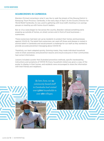#### **SCARECROWS IN CAMBODIA**

Brandon Prichard remembers what it was like to walk the streets of the Stoung District in Kampong Thom Province, Cambodia, in the early days of April. As the Country Director for World Relief Cambodia, he was used to gathering with local staff, checking in on savings groups or meeting up with home-church leaders.

But as virus cases began to rise across the country, Brandon noticed something eerie popping up outside of homes, on street corners and in front of local businesses scarecrows.

These scarecrows had been set up by residents to protect their homes and businesses against COVID-19. The belief that scarecrows can ward off illness and disease is rooted in animist belief in Cambodia and would present a challenge for our staff as they worked to provide accurate prevention messaging about COVID-19.

Thankfully, our team adapted quickly. Donning masks, they made individual household visits to share awareness and prevention lessons and ensure everyone in their communities had correct information.

Lessons included a poster that illustrated prevention methods, specific handwashing instructions and symptoms of COVID-19. Every household visited was given a copy of the poster to display in their homes, and residents were encouraged to share the information with their friends and neighbors.

> *By late June, our* **34** *community-based staff in Cambodia had visited over* **5,800** *households in over* **280** *villages.*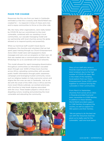#### **MADE FOR CHANGE**

Responses like this one from our team in Cambodia reminded us that this is exactly what World Relief was created for — to respond in times of chaos and crisis and to equip communities to thrive on the other side.

We, like many other organizations, were really tested by COVID-19, but our commitment to the most vulnerable, combined with our standing in local communities, our cascade messaging model and our partnership with local churches across the globe allowed us to respond quickly and powerfully.

When our technical staff couldn't travel due to shutdowns, the churches and volunteers that we had spent years training through our Church Empowerment Zone (CEZ) model were well-equipped to share messages and carry out our programs on their own. All that was needed was a communication platform like WhatsApp for us to coordinate with local networks.

This model allowed for rapid messaging dissemination throughout communities as information cascaded down through over 3,000 of these local churches across Africa, saturating communities with accurate public health information through public awareness campaigns and leveraging trusted community voices such as religious leaders to help overcome rumors and stigma like the ones we saw in Cambodia. Just as we did with the onset of the AIDS crisis in Africa and the more recent Ebola outbreak, we worked extensively with churches to help break stigmas associated with the virus. These leaders played a critical role in dispelling rumors, locating and protecting the most vulnerable and educating the community.





Many of our staff who serve in Rwanda experienced an extended total lockdown due to the high number of COVID-19 cases. But in the midst of this hardship, local pastors from our Church Empowerment Zones (CEZ) came together to continue serving the vulnerable in their communities.

From March to September, churches from across all six CEZs in Rwanda provided food and basic necessities to 4,056 families. In addition to these families, World Relief provided support to 1,346 families throughout the country, as well as support for 350 pastors and their families.

"We are going to do the best we can with the resources God has given us to really care for the vulnerable," said one local pastor.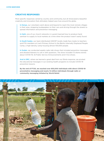#### **CREATIVE RESPONSES**

More specific responses varied by country and community, but all showcased a beautiful creativity and innovation that ultimately helped save lives around the globe.

In Kenya, our volunteers went above and beyond to reach the most remote villages in their area, strapping loudspeakers to their cars and driving through the streets to spread information and prevention messaging.

In Haiti, one of our church networks in Laurent learned how to produce hand sanitizer to supply to local markets at a time when the product wasn't easily found.

In South Sudan, our team distributed UNICEF locally made face masks to teachers and PTA members at Liech Primary School in the Bentiu Internally Displaced People Camp, a high-density camp housing almost 100,000 people.

In Sudan, we conducted weekly radio talk shows that included prevention messages and allowed listeners to call in with questions. The show included 72 drama stories about COVID-19, 42 Public Service Announcements and 4 live shows.

And in DRC, where we learned a great deal from our Ebola response, we pivoted the educational messages in our existing health programs to include COVID-19 prevention lessons.

**By the end of FY20, we reached over 650,000 individuals with direct COVID-19 preventative messaging and nearly 12 million individuals through radio or community messaging initiated by World Relief.**

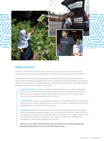

### **CRISIS IN THE U.S.**

Closer to home, here in the U.S., staff, volunteers, church partners and donors alike stepped up with ingenuity and generosity to serve immigrants impacted by COVID-19.

Among our offices, innovation flourished as staff and community partners found new ways to serve. In-person programs such as ESL classes, job training seminars and summer camps all moved online. Volunteer trainings became virtual, opening up new pathways for people across the whole country to volunteer.

In the Quad Cities, our team converted their food pantry into a drive-thru facility. Twice a month, from March-September, around 300 clients pulled up outside their office and were handed a bag of food through their car door. For clients without cars, food was delivered directly to their homes.

In North Texas, we saw local churches, businesses, food banks and other non-profits donate nearly \$1 million dollars worth of food to our pantry, enabling us to serve over 26,800 families across the North Texas area.

In Seattle, World Relief staff used their drive-thru food distribution to also identify clients who owned small businesses. Many of these clients were not aware that they could qualify for government assistance due to the pandemic. Together, staff worked with these clients to fill out paperwork and apply for PPP loans, enabling their businesses to survive the pandemic and beyond.

**Across our U.S. office network, more than \$4 million in food was donated and distributed, allowing us to serve over 624,000 people!**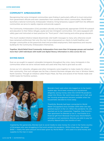## **COMMUNITY AMBASSADORS**

Recognizing that some immigrant communities were finding it particularly difficult to trust instruction from government officials and even caseworkers from outside their ethnic communities, World Relief launched a national Community Ambassador Initiative, hiring temporary support staff from the different communities we serve to rapidly organize and provide support.

The Community Ambassadors (CAs) provided culturally and linguistically appropriate COVID-19 outreach and education to their fellow refugee, asylee and new immigrant communities. CA's were equipped with safety gear and instructed on best practices for "front porch" client training and online group education.

This much-needed initiative helped disseminate vital health messages to many who otherwise would have remained uninformed. Not only this, but it also empowered our clients to build healthier and stronger communities at the grassroots level and provided employment, field experience and resumebuilding for the Community Ambassadors themselves.

**Together, World Relief hired Community Ambassadors from more than 14 language groups and reached more than 1,500 individuals with health and digital literacy information in cities across the U.S.**

#### **GIVING BACK**

Even as we sought to support vulnerable immigrants throughout the crisis, many immigrants in the communities where we serve noticed needs and used what they had to give back as well.

Across our U.S. networks, refugees and other immigrants came together to make masks for others in their community. One such refugee was Sei Paw, a Karenni Burmese refugee who lives in Winston Salem, North Carolina. Through an initiative called Project Mask, Sei Paw and several of her friends made over 3,000 masks for frontline workers.



Brenda's heart sank when she logged on to her bank's mobile app. She'd been working at a laundromat, diligently saving money when the COVID-19 pandemic swept into Illinois. Her work hours were cut in half, and her housing arrangement became unstable when her housemates decided to move away.

Thankfully, Brenda had been connected to World Relief Chicagoland since October 2019 when she was granted asylum in the U.S. When the pandemic hit, she reached out to her caseworker. Together, they found a new apartment for Brenda to live in. And thanks to a financial gift from Renewal Church plus World Relief's emergency rent assistance, Brenda was able to pay her security deposit plus two months of rent.

Inspired by this generosity, Brenda took to social media to raise money for a man in her home country of Nicaragua who was struggling to find work amidst the pandemic. Within three days, she raised \$450 — nearly the same amount she'd been given by World Relief — and used it to send money and supplies to the man in need.